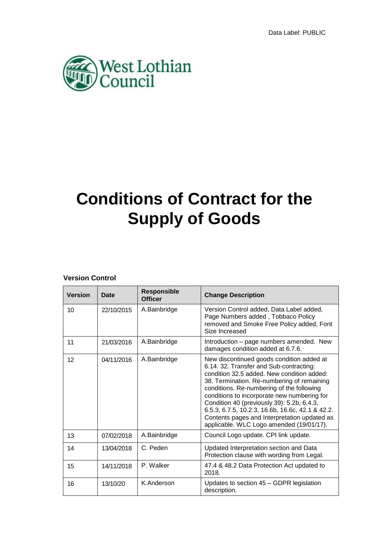

# **Conditions of Contract for the Supply of Goods**

## **Version Control**

| <b>Version</b> | <b>Date</b> | <b>Responsible</b><br>Officer | <b>Change Description</b>                                                                                                                                                                                                                                                                                                                                                                                                                                                  |
|----------------|-------------|-------------------------------|----------------------------------------------------------------------------------------------------------------------------------------------------------------------------------------------------------------------------------------------------------------------------------------------------------------------------------------------------------------------------------------------------------------------------------------------------------------------------|
| 10             | 22/10/2015  | A.Bainbridge                  | Version Control added, Data Label added,<br>Page Numbers added, Tobbaco Policy<br>removed and Smoke Free Policy added, Font<br>Size Increased                                                                                                                                                                                                                                                                                                                              |
| 11             | 21/03/2016  | A.Bainbridge                  | Introduction – page numbers amended. New<br>damages condition added at 6.7.6.                                                                                                                                                                                                                                                                                                                                                                                              |
| 12             | 04/11/2016  | A.Bainbridge                  | New discontinued goods condition added at<br>6.14. 32. Transfer and Sub-contracting:<br>condition 32.5 added. New condition added:<br>38. Termination. Re-numbering of remaining<br>conditions. Re-numbering of the following<br>conditions to incorporate new numbering for<br>Condition 40 (previously 39): 5.2b, 6.4.3,<br>6.5.3, 6.7.5, 10.2.3, 16.6b, 16.6c, 42.1 & 42.2.<br>Contents pages and Interpretation updated as<br>applicable. WLC Logo amended (19/01/17). |
| 13             | 07/02/2018  | A.Bainbridge                  | Council Logo update. CPI link update.                                                                                                                                                                                                                                                                                                                                                                                                                                      |
| 14             | 13/04/2018  | C. Peden                      | Updated Interpretation section and Data<br>Protection clause with wording from Legal.                                                                                                                                                                                                                                                                                                                                                                                      |
| 15             | 14/11/2018  | P. Walker                     | 47.4 & 48.2 Data Protection Act updated to<br>2018.                                                                                                                                                                                                                                                                                                                                                                                                                        |
| 16             | 13/10/20    | K.Anderson                    | Updates to section 45 - GDPR legislation<br>description.                                                                                                                                                                                                                                                                                                                                                                                                                   |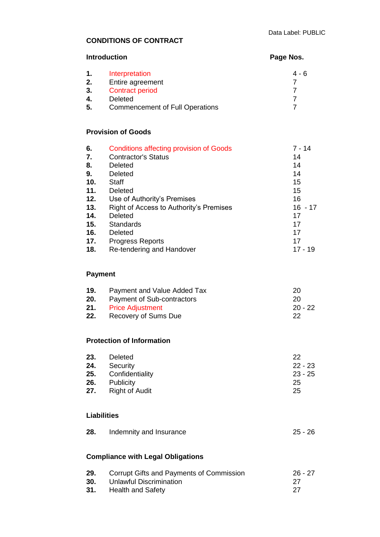# **CONDITIONS OF CONTRACT**

| <b>Introduction</b> |                                                | Page Nos.      |  |
|---------------------|------------------------------------------------|----------------|--|
| 1.                  | Interpretation                                 | $4 - 6$        |  |
| 2.                  | Entire agreement                               | $\overline{7}$ |  |
| 3.                  | <b>Contract period</b>                         | 7              |  |
| 4.                  | <b>Deleted</b>                                 |                |  |
| 5.                  | <b>Commencement of Full Operations</b>         | 7              |  |
|                     | <b>Provision of Goods</b>                      |                |  |
| 6.                  | <b>Conditions affecting provision of Goods</b> | 7 - 14         |  |
| 7.                  | <b>Contractor's Status</b>                     | 14             |  |
|                     |                                                |                |  |

| 8.  | Deleted                                 | 14        |
|-----|-----------------------------------------|-----------|
| 9.  | Deleted                                 | 14        |
| 10. | <b>Staff</b>                            | 15        |
| 11. | Deleted                                 | 15        |
| 12. | Use of Authority's Premises             | 16        |
| 13. | Right of Access to Authority's Premises | $16 - 17$ |
| 14. | Deleted                                 | 17        |
| 15. | Standards                               | 17        |
| 16. | Deleted                                 | 17        |
| 17. | <b>Progress Reports</b>                 | 17        |
| 18. | Re-tendering and Handover               | $17 - 19$ |

# **Payment**

| 19. | Payment and Value Added Tax           | 20        |
|-----|---------------------------------------|-----------|
|     | <b>20.</b> Payment of Sub-contractors | 20        |
|     | <b>21.</b> Price Adjustment           | $20 - 22$ |
| 22. | Recovery of Sums Due                  | 22        |

# **Protection of Information**

| 23. | Deleted               | 22        |
|-----|-----------------------|-----------|
| 24. | Security              | $22 - 23$ |
|     | 25. Confidentiality   | $23 - 25$ |
| 26. | Publicity             | 25        |
| 27. | <b>Right of Audit</b> | 25        |

## **Liabilities**

| 28. | Indemnity and Insurance | 25 - 26 |
|-----|-------------------------|---------|
|     |                         |         |

# **Compliance with Legal Obligations**

| 29. | Corrupt Gifts and Payments of Commission | $26 - 27$ |
|-----|------------------------------------------|-----------|
| 30. | Unlawful Discrimination                  | -27       |
|     | <b>31.</b> Health and Safety             | 27        |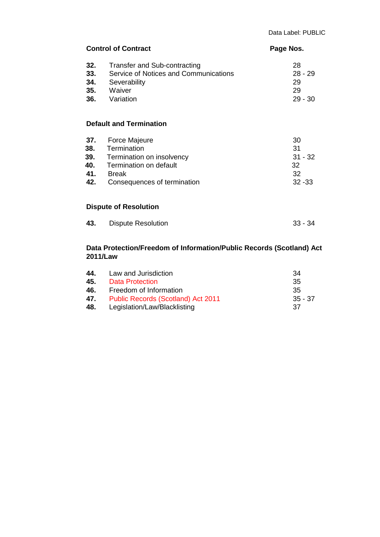|                   | <b>Control of Contract</b>                                                                                                                     | Page Nos.                                      |  |
|-------------------|------------------------------------------------------------------------------------------------------------------------------------------------|------------------------------------------------|--|
| 32.<br>33.<br>34. | Transfer and Sub-contracting<br>Service of Notices and Communications<br>Severability<br>35. Waiver<br>36. Variation                           | 28<br>$28 - 29$<br>29<br>29<br>$29 - 30$       |  |
|                   | <b>Default and Termination</b>                                                                                                                 |                                                |  |
| 37.<br>38.<br>42. | Force Majeure<br>Termination<br><b>39.</b> Termination on insolvency<br>40. Termination on default<br>41. Break<br>Consequences of termination | 30<br>31<br>$31 - 32$<br>32<br>32<br>$32 - 33$ |  |
|                   | <b>Dispute of Resolution</b>                                                                                                                   |                                                |  |
| 43.               | <b>Dispute Resolution</b>                                                                                                                      | $33 - 34$                                      |  |

## **Data Protection/Freedom of Information/Public Records (Scotland) Act 2011/Law**

| 44. | Law and Jurisdiction                      | -34       |
|-----|-------------------------------------------|-----------|
| 45. | Data Protection                           | -35       |
| 46. | Freedom of Information                    | 35        |
| 47. | <b>Public Records (Scotland) Act 2011</b> | $35 - 37$ |
| 48. | Legislation/Law/Blacklisting              | 37        |
|     |                                           |           |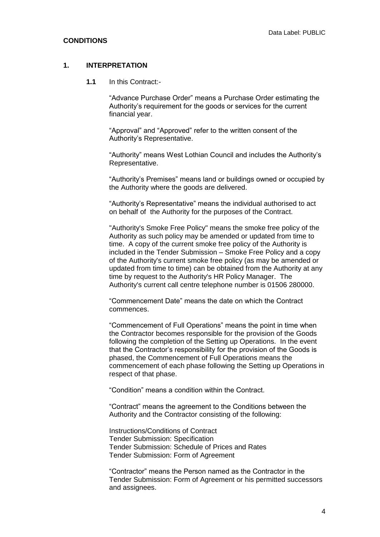#### **1. INTERPRETATION**

**1.1** In this Contract:-

"Advance Purchase Order" means a Purchase Order estimating the Authority's requirement for the goods or services for the current financial year.

"Approval" and "Approved" refer to the written consent of the Authority's Representative.

"Authority" means West Lothian Council and includes the Authority's Representative.

"Authority's Premises" means land or buildings owned or occupied by the Authority where the goods are delivered.

"Authority's Representative" means the individual authorised to act on behalf of the Authority for the purposes of the Contract.

"Authority's Smoke Free Policy" means the smoke free policy of the Authority as such policy may be amended or updated from time to time. A copy of the current smoke free policy of the Authority is included in the Tender Submission – Smoke Free Policy and a copy of the Authority's current smoke free policy (as may be amended or updated from time to time) can be obtained from the Authority at any time by request to the Authority's HR Policy Manager. The Authority's current call centre telephone number is 01506 280000.

"Commencement Date" means the date on which the Contract commences.

"Commencement of Full Operations" means the point in time when the Contractor becomes responsible for the provision of the Goods following the completion of the Setting up Operations. In the event that the Contractor's responsibility for the provision of the Goods is phased, the Commencement of Full Operations means the commencement of each phase following the Setting up Operations in respect of that phase.

"Condition" means a condition within the Contract.

"Contract" means the agreement to the Conditions between the Authority and the Contractor consisting of the following:

Instructions/Conditions of Contract Tender Submission: Specification Tender Submission: Schedule of Prices and Rates Tender Submission: Form of Agreement

"Contractor" means the Person named as the Contractor in the Tender Submission: Form of Agreement or his permitted successors and assignees.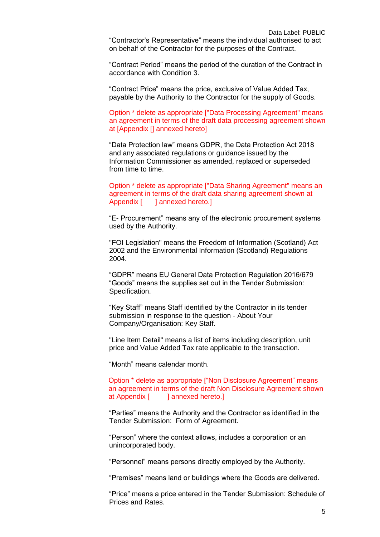"Contract Period" means the period of the duration of the Contract in accordance with Condition 3.

"Contract Price" means the price, exclusive of Value Added Tax, payable by the Authority to the Contractor for the supply of Goods.

Option \* delete as appropriate ["Data Processing Agreement" means an agreement in terms of the draft data processing agreement shown at [Appendix [] annexed hereto]

"Data Protection law" means GDPR, the Data Protection Act 2018 and any associated regulations or guidance issued by the Information Commissioner as amended, replaced or superseded from time to time.

Option \* delete as appropriate ["Data Sharing Agreement" means an agreement in terms of the draft data sharing agreement shown at Appendix [ ] annexed hereto.]

"E- Procurement" means any of the electronic procurement systems used by the Authority.

"FOI Legislation" means the Freedom of Information (Scotland) Act 2002 and the Environmental Information (Scotland) Regulations 2004.

"GDPR" means EU General Data Protection Regulation 2016/679 "Goods" means the supplies set out in the Tender Submission: Specification.

"Key Staff" means Staff identified by the Contractor in its tender submission in response to the question - About Your Company/Organisation: Key Staff.

"Line Item Detail" means a list of items including description, unit price and Value Added Tax rate applicable to the transaction.

"Month" means calendar month.

Option \* delete as appropriate ["Non Disclosure Agreement" means an agreement in terms of the draft Non Disclosure Agreement shown at Appendix [ ] annexed hereto.]

"Parties" means the Authority and the Contractor as identified in the Tender Submission: Form of Agreement.

"Person" where the context allows, includes a corporation or an unincorporated body.

"Personnel" means persons directly employed by the Authority.

"Premises" means land or buildings where the Goods are delivered.

"Price" means a price entered in the Tender Submission: Schedule of Prices and Rates.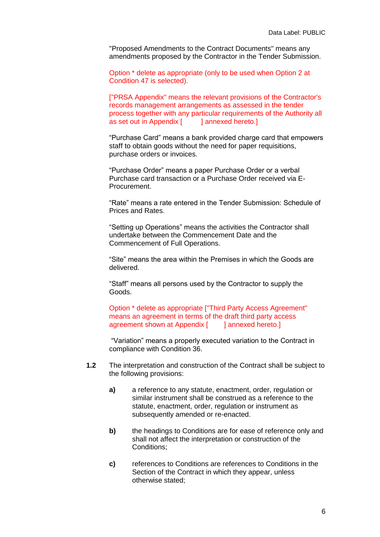"Proposed Amendments to the Contract Documents" means any amendments proposed by the Contractor in the Tender Submission.

Option \* delete as appropriate (only to be used when Option 2 at Condition 47 is selected).

["PRSA Appendix" means the relevant provisions of the Contractor's records management arrangements as assessed in the tender process together with any particular requirements of the Authority all as set out in Appendix [ ] annexed hereto.]

"Purchase Card" means a bank provided charge card that empowers staff to obtain goods without the need for paper requisitions, purchase orders or invoices.

"Purchase Order" means a paper Purchase Order or a verbal Purchase card transaction or a Purchase Order received via E-Procurement.

"Rate" means a rate entered in the Tender Submission: Schedule of Prices and Rates.

"Setting up Operations" means the activities the Contractor shall undertake between the Commencement Date and the Commencement of Full Operations.

"Site" means the area within the Premises in which the Goods are delivered.

"Staff" means all persons used by the Contractor to supply the Goods.

Option \* delete as appropriate ["Third Party Access Agreement" means an agreement in terms of the draft third party access agreement shown at Appendix [ ] annexed hereto.]

"Variation" means a properly executed variation to the Contract in compliance with Condition 36.

- **1.2** The interpretation and construction of the Contract shall be subject to the following provisions:
	- **a)** a reference to any statute, enactment, order, regulation or similar instrument shall be construed as a reference to the statute, enactment, order, regulation or instrument as subsequently amended or re-enacted.
	- **b)** the headings to Conditions are for ease of reference only and shall not affect the interpretation or construction of the Conditions;
	- **c)** references to Conditions are references to Conditions in the Section of the Contract in which they appear, unless otherwise stated;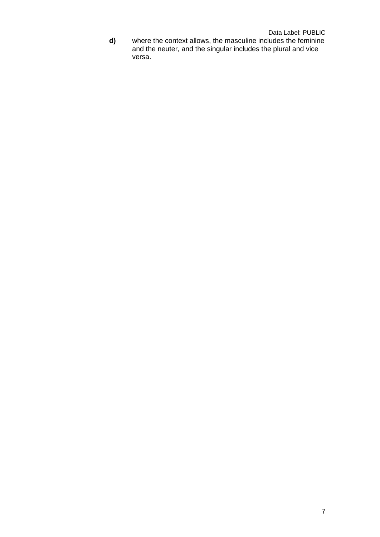**d)** where the context allows, the masculine includes the feminine and the neuter, and the singular includes the plural and vice versa.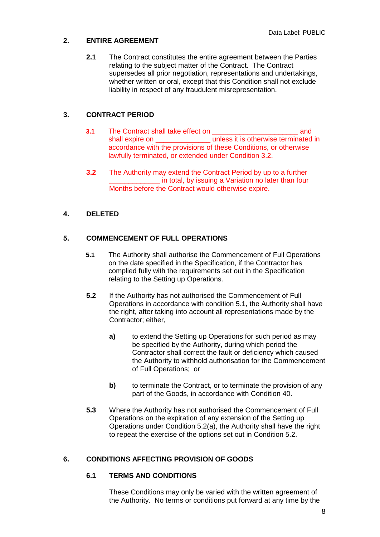## **2. ENTIRE AGREEMENT**

**2.1** The Contract constitutes the entire agreement between the Parties relating to the subject matter of the Contract. The Contract supersedes all prior negotiation, representations and undertakings, whether written or oral, except that this Condition shall not exclude liability in respect of any fraudulent misrepresentation.

## **3. CONTRACT PERIOD**

- **3.1** The Contract shall take effect on \_\_\_\_\_\_\_\_\_\_\_\_\_\_\_\_\_\_\_\_\_\_ and shall expire on **wave unless** it is otherwise terminated in accordance with the provisions of these Conditions, or otherwise lawfully terminated, or extended under Condition 3.2.
- **3.2** The Authority may extend the Contract Period by up to a further in total, by issuing a Variation no later than four Months before the Contract would otherwise expire.

## **4. DELETED**

## **5. COMMENCEMENT OF FULL OPERATIONS**

- **5.1** The Authority shall authorise the Commencement of Full Operations on the date specified in the Specification, if the Contractor has complied fully with the requirements set out in the Specification relating to the Setting up Operations.
- **5.2** If the Authority has not authorised the Commencement of Full Operations in accordance with condition 5.1, the Authority shall have the right, after taking into account all representations made by the Contractor; either,
	- **a)** to extend the Setting up Operations for such period as may be specified by the Authority, during which period the Contractor shall correct the fault or deficiency which caused the Authority to withhold authorisation for the Commencement of Full Operations; or
	- **b)** to terminate the Contract, or to terminate the provision of any part of the Goods, in accordance with Condition 40.
- **5.3** Where the Authority has not authorised the Commencement of Full Operations on the expiration of any extension of the Setting up Operations under Condition 5.2(a), the Authority shall have the right to repeat the exercise of the options set out in Condition 5.2.

## **6. CONDITIONS AFFECTING PROVISION OF GOODS**

## **6.1 TERMS AND CONDITIONS**

These Conditions may only be varied with the written agreement of the Authority. No terms or conditions put forward at any time by the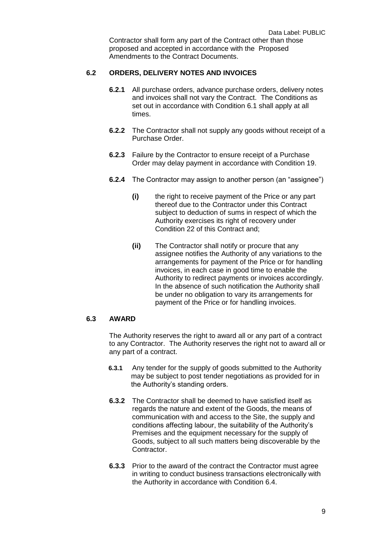Contractor shall form any part of the Contract other than those proposed and accepted in accordance with the Proposed Amendments to the Contract Documents.

## **6.2 ORDERS, DELIVERY NOTES AND INVOICES**

- **6.2.1** All purchase orders, advance purchase orders, delivery notes and invoices shall not vary the Contract. The Conditions as set out in accordance with Condition 6.1 shall apply at all times.
- **6.2.2** The Contractor shall not supply any goods without receipt of a Purchase Order.
- **6.2.3** Failure by the Contractor to ensure receipt of a Purchase Order may delay payment in accordance with Condition 19.
- **6.2.4** The Contractor may assign to another person (an "assignee")
	- **(i)** the right to receive payment of the Price or any part thereof due to the Contractor under this Contract subject to deduction of sums in respect of which the Authority exercises its right of recovery under Condition 22 of this Contract and;
	- **(ii)** The Contractor shall notify or procure that any assignee notifies the Authority of any variations to the arrangements for payment of the Price or for handling invoices, in each case in good time to enable the Authority to redirect payments or invoices accordingly. In the absence of such notification the Authority shall be under no obligation to vary its arrangements for payment of the Price or for handling invoices.

## **6.3 AWARD**

The Authority reserves the right to award all or any part of a contract to any Contractor. The Authority reserves the right not to award all or any part of a contract.

- **6.3.1** Any tender for the supply of goods submitted to the Authority may be subject to post tender negotiations as provided for in the Authority's standing orders.
- **6.3.2** The Contractor shall be deemed to have satisfied itself as regards the nature and extent of the Goods, the means of communication with and access to the Site, the supply and conditions affecting labour, the suitability of the Authority's Premises and the equipment necessary for the supply of Goods, subject to all such matters being discoverable by the Contractor.
- **6.3.3** Prior to the award of the contract the Contractor must agree in writing to conduct business transactions electronically with the Authority in accordance with Condition 6.4.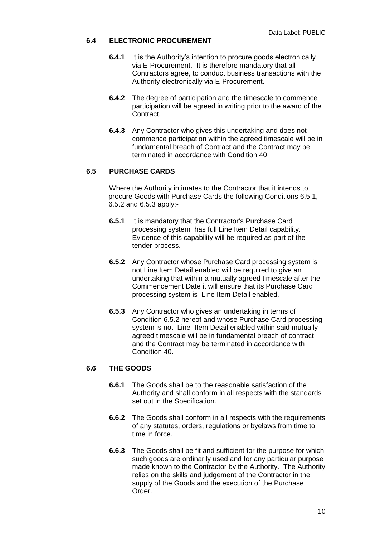## **6.4 ELECTRONIC PROCUREMENT**

- **6.4.1** It is the Authority's intention to procure goods electronically via E-Procurement. It is therefore mandatory that all Contractors agree, to conduct business transactions with the Authority electronically via E-Procurement.
- **6.4.2** The degree of participation and the timescale to commence participation will be agreed in writing prior to the award of the Contract.
- **6.4.3** Any Contractor who gives this undertaking and does not commence participation within the agreed timescale will be in fundamental breach of Contract and the Contract may be terminated in accordance with Condition 40.

## **6.5 PURCHASE CARDS**

Where the Authority intimates to the Contractor that it intends to procure Goods with Purchase Cards the following Conditions 6.5.1, 6.5.2 and 6.5.3 apply:-

- **6.5.1** It is mandatory that the Contractor's Purchase Card processing system has full Line Item Detail capability. Evidence of this capability will be required as part of the tender process.
- **6.5.2** Any Contractor whose Purchase Card processing system is not Line Item Detail enabled will be required to give an undertaking that within a mutually agreed timescale after the Commencement Date it will ensure that its Purchase Card processing system is Line Item Detail enabled.
- **6.5.3** Any Contractor who gives an undertaking in terms of Condition 6.5.2 hereof and whose Purchase Card processing system is not Line Item Detail enabled within said mutually agreed timescale will be in fundamental breach of contract and the Contract may be terminated in accordance with Condition 40.

## **6.6 THE GOODS**

- **6.6.1** The Goods shall be to the reasonable satisfaction of the Authority and shall conform in all respects with the standards set out in the Specification.
- **6.6.2** The Goods shall conform in all respects with the requirements of any statutes, orders, regulations or byelaws from time to time in force.
- **6.6.3** The Goods shall be fit and sufficient for the purpose for which such goods are ordinarily used and for any particular purpose made known to the Contractor by the Authority. The Authority relies on the skills and judgement of the Contractor in the supply of the Goods and the execution of the Purchase Order.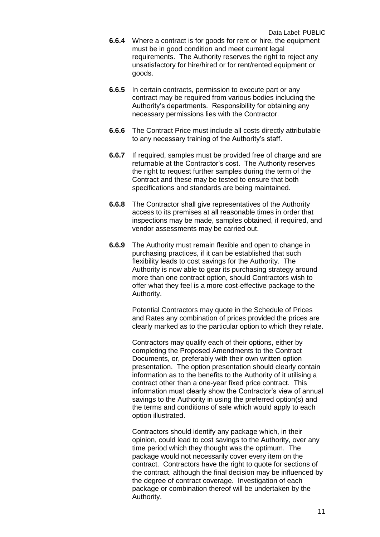- **6.6.4** Where a contract is for goods for rent or hire, the equipment must be in good condition and meet current legal requirements. The Authority reserves the right to reject any unsatisfactory for hire/hired or for rent/rented equipment or goods.
- **6.6.5** In certain contracts, permission to execute part or any contract may be required from various bodies including the Authority's departments. Responsibility for obtaining any necessary permissions lies with the Contractor.
- **6.6.6** The Contract Price must include all costs directly attributable to any necessary training of the Authority's staff.
- **6.6.7** If required, samples must be provided free of charge and are returnable at the Contractor's cost. The Authority reserves the right to request further samples during the term of the Contract and these may be tested to ensure that both specifications and standards are being maintained.
- **6.6.8** The Contractor shall give representatives of the Authority access to its premises at all reasonable times in order that inspections may be made, samples obtained, if required, and vendor assessments may be carried out.
- **6.6.9** The Authority must remain flexible and open to change in purchasing practices, if it can be established that such flexibility leads to cost savings for the Authority. The Authority is now able to gear its purchasing strategy around more than one contract option, should Contractors wish to offer what they feel is a more cost-effective package to the Authority.

Potential Contractors may quote in the Schedule of Prices and Rates any combination of prices provided the prices are clearly marked as to the particular option to which they relate.

Contractors may qualify each of their options, either by completing the Proposed Amendments to the Contract Documents, or, preferably with their own written option presentation. The option presentation should clearly contain information as to the benefits to the Authority of it utilising a contract other than a one-year fixed price contract. This information must clearly show the Contractor's view of annual savings to the Authority in using the preferred option(s) and the terms and conditions of sale which would apply to each option illustrated.

Contractors should identify any package which, in their opinion, could lead to cost savings to the Authority, over any time period which they thought was the optimum. The package would not necessarily cover every item on the contract. Contractors have the right to quote for sections of the contract, although the final decision may be influenced by the degree of contract coverage. Investigation of each package or combination thereof will be undertaken by the Authority.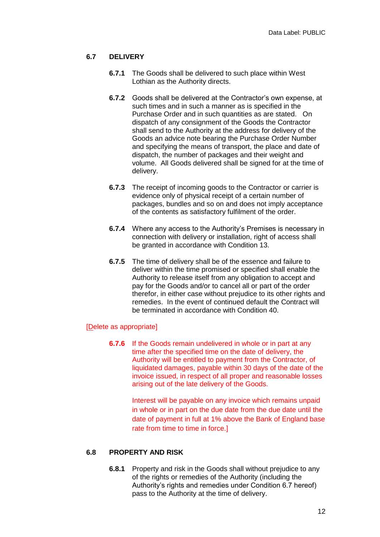## **6.7 DELIVERY**

- **6.7.1** The Goods shall be delivered to such place within West Lothian as the Authority directs.
- **6.7.2** Goods shall be delivered at the Contractor's own expense, at such times and in such a manner as is specified in the Purchase Order and in such quantities as are stated. On dispatch of any consignment of the Goods the Contractor shall send to the Authority at the address for delivery of the Goods an advice note bearing the Purchase Order Number and specifying the means of transport, the place and date of dispatch, the number of packages and their weight and volume. All Goods delivered shall be signed for at the time of delivery.
- **6.7.3** The receipt of incoming goods to the Contractor or carrier is evidence only of physical receipt of a certain number of packages, bundles and so on and does not imply acceptance of the contents as satisfactory fulfilment of the order.
- **6.7.4** Where any access to the Authority's Premises is necessary in connection with delivery or installation, right of access shall be granted in accordance with Condition 13.
- **6.7.5** The time of delivery shall be of the essence and failure to deliver within the time promised or specified shall enable the Authority to release itself from any obligation to accept and pay for the Goods and/or to cancel all or part of the order therefor, in either case without prejudice to its other rights and remedies. In the event of continued default the Contract will be terminated in accordance with Condition 40.

## [Delete as appropriate]

**6.7.6** If the Goods remain undelivered in whole or in part at any time after the specified time on the date of delivery, the Authority will be entitled to payment from the Contractor, of liquidated damages, payable within 30 days of the date of the invoice issued, in respect of all proper and reasonable losses arising out of the late delivery of the Goods.

> Interest will be payable on any invoice which remains unpaid in whole or in part on the due date from the due date until the date of payment in full at 1% above the Bank of England base rate from time to time in force.]

#### **6.8 PROPERTY AND RISK**

**6.8.1** Property and risk in the Goods shall without prejudice to any of the rights or remedies of the Authority (including the Authority's rights and remedies under Condition 6.7 hereof) pass to the Authority at the time of delivery.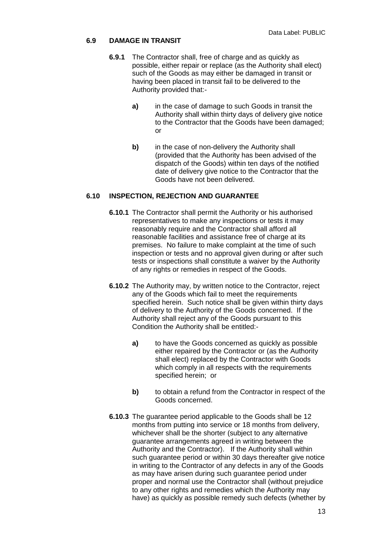## **6.9 DAMAGE IN TRANSIT**

- **6.9.1** The Contractor shall, free of charge and as quickly as possible, either repair or replace (as the Authority shall elect) such of the Goods as may either be damaged in transit or having been placed in transit fail to be delivered to the Authority provided that:
	- **a)** in the case of damage to such Goods in transit the Authority shall within thirty days of delivery give notice to the Contractor that the Goods have been damaged; or
	- **b)** in the case of non-delivery the Authority shall (provided that the Authority has been advised of the dispatch of the Goods) within ten days of the notified date of delivery give notice to the Contractor that the Goods have not been delivered.

## **6.10 INSPECTION, REJECTION AND GUARANTEE**

- **6.10.1** The Contractor shall permit the Authority or his authorised representatives to make any inspections or tests it may reasonably require and the Contractor shall afford all reasonable facilities and assistance free of charge at its premises. No failure to make complaint at the time of such inspection or tests and no approval given during or after such tests or inspections shall constitute a waiver by the Authority of any rights or remedies in respect of the Goods.
- **6.10.2** The Authority may, by written notice to the Contractor, reject any of the Goods which fail to meet the requirements specified herein. Such notice shall be given within thirty days of delivery to the Authority of the Goods concerned. If the Authority shall reject any of the Goods pursuant to this Condition the Authority shall be entitled:
	- **a)** to have the Goods concerned as quickly as possible either repaired by the Contractor or (as the Authority shall elect) replaced by the Contractor with Goods which comply in all respects with the requirements specified herein; or
	- **b)** to obtain a refund from the Contractor in respect of the Goods concerned.
- **6.10.3** The guarantee period applicable to the Goods shall be 12 months from putting into service or 18 months from delivery, whichever shall be the shorter (subject to any alternative guarantee arrangements agreed in writing between the Authority and the Contractor). If the Authority shall within such guarantee period or within 30 days thereafter give notice in writing to the Contractor of any defects in any of the Goods as may have arisen during such guarantee period under proper and normal use the Contractor shall (without prejudice to any other rights and remedies which the Authority may have) as quickly as possible remedy such defects (whether by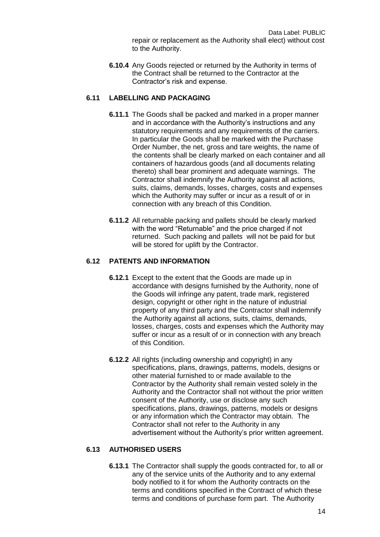Data Label: PUBLIC repair or replacement as the Authority shall elect) without cost to the Authority.

**6.10.4** Any Goods rejected or returned by the Authority in terms of the Contract shall be returned to the Contractor at the Contractor's risk and expense.

## **6.11 LABELLING AND PACKAGING**

- **6.11.1** The Goods shall be packed and marked in a proper manner and in accordance with the Authority's instructions and any statutory requirements and any requirements of the carriers. In particular the Goods shall be marked with the Purchase Order Number, the net, gross and tare weights, the name of the contents shall be clearly marked on each container and all containers of hazardous goods (and all documents relating thereto) shall bear prominent and adequate warnings. The Contractor shall indemnify the Authority against all actions, suits, claims, demands, losses, charges, costs and expenses which the Authority may suffer or incur as a result of or in connection with any breach of this Condition.
- **6.11.2** All returnable packing and pallets should be clearly marked with the word "Returnable" and the price charged if not returned. Such packing and pallets will not be paid for but will be stored for uplift by the Contractor.

## **6.12 PATENTS AND INFORMATION**

- **6.12.1** Except to the extent that the Goods are made up in accordance with designs furnished by the Authority, none of the Goods will infringe any patent, trade mark, registered design, copyright or other right in the nature of industrial property of any third party and the Contractor shall indemnify the Authority against all actions, suits, claims, demands, losses, charges, costs and expenses which the Authority may suffer or incur as a result of or in connection with any breach of this Condition.
- **6.12.2** All rights (including ownership and copyright) in any specifications, plans, drawings, patterns, models, designs or other material furnished to or made available to the Contractor by the Authority shall remain vested solely in the Authority and the Contractor shall not without the prior written consent of the Authority, use or disclose any such specifications, plans, drawings, patterns, models or designs or any information which the Contractor may obtain. The Contractor shall not refer to the Authority in any advertisement without the Authority's prior written agreement.

## **6.13 AUTHORISED USERS**

**6.13.1** The Contractor shall supply the goods contracted for, to all or any of the service units of the Authority and to any external body notified to it for whom the Authority contracts on the terms and conditions specified in the Contract of which these terms and conditions of purchase form part. The Authority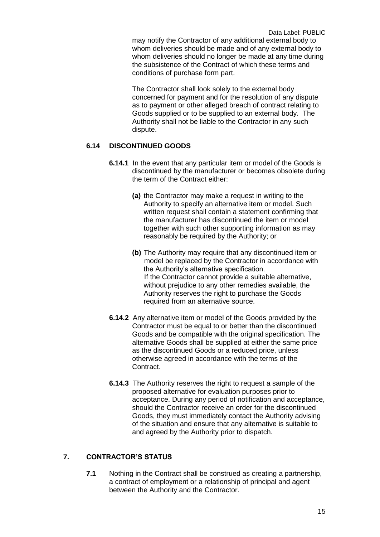may notify the Contractor of any additional external body to whom deliveries should be made and of any external body to whom deliveries should no longer be made at any time during the subsistence of the Contract of which these terms and conditions of purchase form part.

The Contractor shall look solely to the external body concerned for payment and for the resolution of any dispute as to payment or other alleged breach of contract relating to Goods supplied or to be supplied to an external body. The Authority shall not be liable to the Contractor in any such dispute.

## **6.14 DISCONTINUED GOODS**

- **6.14.1** In the event that any particular item or model of the Goods is discontinued by the manufacturer or becomes obsolete during the term of the Contract either:
	- **(a)** the Contractor may make a request in writing to the Authority to specify an alternative item or model. Such written request shall contain a statement confirming that the manufacturer has discontinued the item or model together with such other supporting information as may reasonably be required by the Authority; or
	- **(b)** The Authority may require that any discontinued item or model be replaced by the Contractor in accordance with the Authority's alternative specification. If the Contractor cannot provide a suitable alternative, without prejudice to any other remedies available, the Authority reserves the right to purchase the Goods required from an alternative source.
- **6.14.2** Any alternative item or model of the Goods provided by the Contractor must be equal to or better than the discontinued Goods and be compatible with the original specification. The alternative Goods shall be supplied at either the same price as the discontinued Goods or a reduced price, unless otherwise agreed in accordance with the terms of the Contract.
- **6.14.3** The Authority reserves the right to request a sample of the proposed alternative for evaluation purposes prior to acceptance. During any period of notification and acceptance, should the Contractor receive an order for the discontinued Goods, they must immediately contact the Authority advising of the situation and ensure that any alternative is suitable to and agreed by the Authority prior to dispatch.

## **7. CONTRACTOR'S STATUS**

**7.1** Nothing in the Contract shall be construed as creating a partnership, a contract of employment or a relationship of principal and agent between the Authority and the Contractor.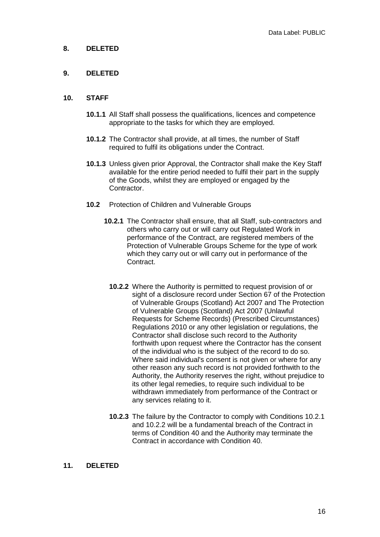## **8. DELETED**

## **9. DELETED**

#### **10. STAFF**

- **10.1.1** All Staff shall possess the qualifications, licences and competence appropriate to the tasks for which they are employed.
- **10.1.2** The Contractor shall provide, at all times, the number of Staff required to fulfil its obligations under the Contract.
- **10.1.3** Unless given prior Approval, the Contractor shall make the Key Staff available for the entire period needed to fulfil their part in the supply of the Goods, whilst they are employed or engaged by the Contractor.
- **10.2** Protection of Children and Vulnerable Groups
	- **10.2.1** The Contractor shall ensure, that all Staff, sub-contractors and others who carry out or will carry out Regulated Work in performance of the Contract, are registered members of the Protection of Vulnerable Groups Scheme for the type of work which they carry out or will carry out in performance of the Contract.
		- **10.2.2** Where the Authority is permitted to request provision of or sight of a disclosure record under Section 67 of the Protection of Vulnerable Groups (Scotland) Act 2007 and The Protection of Vulnerable Groups (Scotland) Act 2007 (Unlawful Requests for Scheme Records) (Prescribed Circumstances) Regulations 2010 or any other legislation or regulations, the Contractor shall disclose such record to the Authority forthwith upon request where the Contractor has the consent of the individual who is the subject of the record to do so. Where said individual's consent is not given or where for any other reason any such record is not provided forthwith to the Authority, the Authority reserves the right, without prejudice to its other legal remedies, to require such individual to be withdrawn immediately from performance of the Contract or any services relating to it.
		- **10.2.3** The failure by the Contractor to comply with Conditions 10.2.1 and 10.2.2 will be a fundamental breach of the Contract in terms of Condition 40 and the Authority may terminate the Contract in accordance with Condition 40.

## **11. DELETED**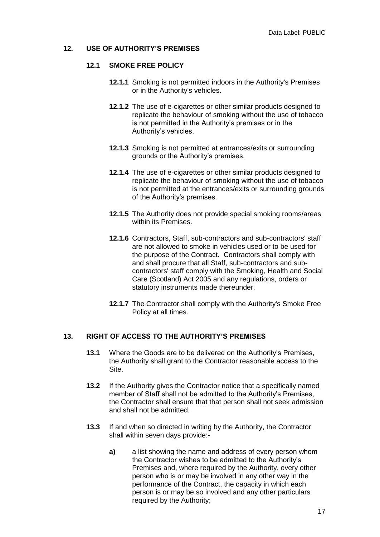#### **12. USE OF AUTHORITY'S PREMISES**

#### **12.1 SMOKE FREE POLICY**

- **12.1.1** Smoking is not permitted indoors in the Authority's Premises or in the Authority's vehicles.
- **12.1.2** The use of e-cigarettes or other similar products designed to replicate the behaviour of smoking without the use of tobacco is not permitted in the Authority's premises or in the Authority's vehicles.
- **12.1.3** Smoking is not permitted at entrances/exits or surrounding grounds or the Authority's premises.
- **12.1.4** The use of e-cigarettes or other similar products designed to replicate the behaviour of smoking without the use of tobacco is not permitted at the entrances/exits or surrounding grounds of the Authority's premises.
- **12.1.5** The Authority does not provide special smoking rooms/areas within its Premises.
- **12.1.6** Contractors, Staff, sub-contractors and sub-contractors' staff are not allowed to smoke in vehicles used or to be used for the purpose of the Contract. Contractors shall comply with and shall procure that all Staff, sub-contractors and subcontractors' staff comply with the Smoking, Health and Social Care (Scotland) Act 2005 and any regulations, orders or statutory instruments made thereunder.
- **12.1.7** The Contractor shall comply with the Authority's Smoke Free Policy at all times.

## **13. RIGHT OF ACCESS TO THE AUTHORITY'S PREMISES**

- **13.1** Where the Goods are to be delivered on the Authority's Premises, the Authority shall grant to the Contractor reasonable access to the Site.
- **13.2** If the Authority gives the Contractor notice that a specifically named member of Staff shall not be admitted to the Authority's Premises, the Contractor shall ensure that that person shall not seek admission and shall not be admitted.
- **13.3** If and when so directed in writing by the Authority, the Contractor shall within seven days provide:
	- **a)** a list showing the name and address of every person whom the Contractor wishes to be admitted to the Authority's Premises and, where required by the Authority, every other person who is or may be involved in any other way in the performance of the Contract, the capacity in which each person is or may be so involved and any other particulars required by the Authority;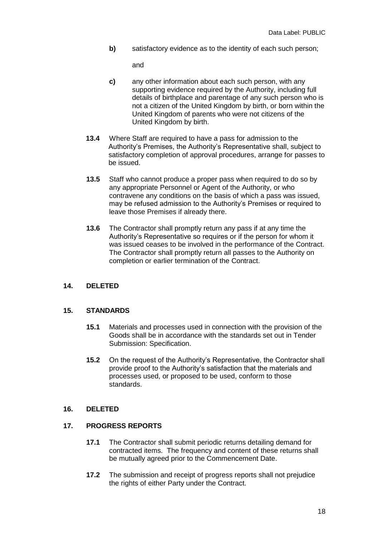**b)** satisfactory evidence as to the identity of each such person;

and

- **c)** any other information about each such person, with any supporting evidence required by the Authority, including full details of birthplace and parentage of any such person who is not a citizen of the United Kingdom by birth, or born within the United Kingdom of parents who were not citizens of the United Kingdom by birth.
- **13.4** Where Staff are required to have a pass for admission to the Authority's Premises, the Authority's Representative shall, subject to satisfactory completion of approval procedures, arrange for passes to be issued.
- **13.5** Staff who cannot produce a proper pass when required to do so by any appropriate Personnel or Agent of the Authority, or who contravene any conditions on the basis of which a pass was issued, may be refused admission to the Authority's Premises or required to leave those Premises if already there.
- **13.6** The Contractor shall promptly return any pass if at any time the Authority's Representative so requires or if the person for whom it was issued ceases to be involved in the performance of the Contract. The Contractor shall promptly return all passes to the Authority on completion or earlier termination of the Contract.

## **14. DELETED**

## **15. STANDARDS**

- **15.1** Materials and processes used in connection with the provision of the Goods shall be in accordance with the standards set out in Tender Submission: Specification.
- **15.2** On the request of the Authority's Representative, the Contractor shall provide proof to the Authority's satisfaction that the materials and processes used, or proposed to be used, conform to those standards.

## **16. DELETED**

## **17. PROGRESS REPORTS**

- **17.1** The Contractor shall submit periodic returns detailing demand for contracted items. The frequency and content of these returns shall be mutually agreed prior to the Commencement Date.
- **17.2** The submission and receipt of progress reports shall not prejudice the rights of either Party under the Contract.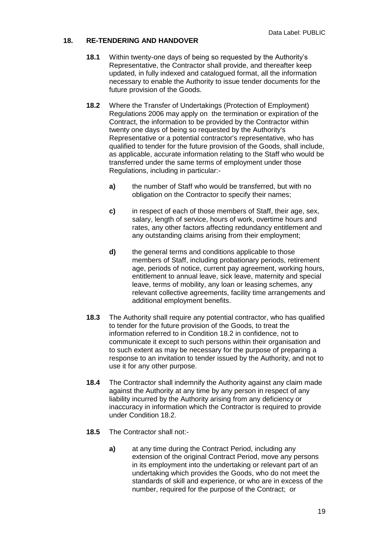## **18. RE-TENDERING AND HANDOVER**

- **18.1** Within twenty-one days of being so requested by the Authority's Representative, the Contractor shall provide, and thereafter keep updated, in fully indexed and catalogued format, all the information necessary to enable the Authority to issue tender documents for the future provision of the Goods.
- **18.2** Where the Transfer of Undertakings (Protection of Employment) Regulations 2006 may apply on the termination or expiration of the Contract, the information to be provided by the Contractor within twenty one days of being so requested by the Authority's Representative or a potential contractor's representative, who has qualified to tender for the future provision of the Goods, shall include, as applicable, accurate information relating to the Staff who would be transferred under the same terms of employment under those Regulations, including in particular:
	- **a)** the number of Staff who would be transferred, but with no obligation on the Contractor to specify their names;
	- **c)** in respect of each of those members of Staff, their age, sex, salary, length of service, hours of work, overtime hours and rates, any other factors affecting redundancy entitlement and any outstanding claims arising from their employment;
	- **d)** the general terms and conditions applicable to those members of Staff, including probationary periods, retirement age, periods of notice, current pay agreement, working hours, entitlement to annual leave, sick leave, maternity and special leave, terms of mobility, any loan or leasing schemes, any relevant collective agreements, facility time arrangements and additional employment benefits.
- **18.3** The Authority shall require any potential contractor, who has qualified to tender for the future provision of the Goods, to treat the information referred to in Condition 18.2 in confidence, not to communicate it except to such persons within their organisation and to such extent as may be necessary for the purpose of preparing a response to an invitation to tender issued by the Authority, and not to use it for any other purpose.
- **18.4** The Contractor shall indemnify the Authority against any claim made against the Authority at any time by any person in respect of any liability incurred by the Authority arising from any deficiency or inaccuracy in information which the Contractor is required to provide under Condition 18.2.
- **18.5** The Contractor shall not:
	- **a)** at any time during the Contract Period, including any extension of the original Contract Period, move any persons in its employment into the undertaking or relevant part of an undertaking which provides the Goods, who do not meet the standards of skill and experience, or who are in excess of the number, required for the purpose of the Contract; or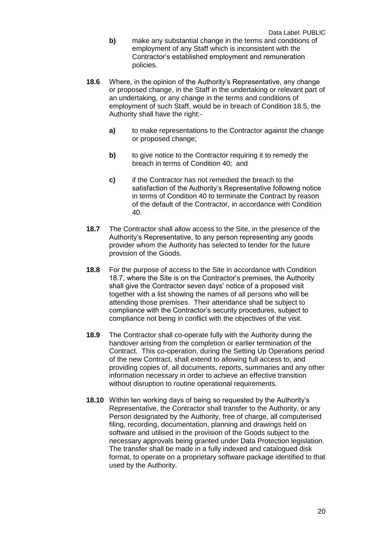- **b)** make any substantial change in the terms and conditions of employment of any Staff which is inconsistent with the Contractor's established employment and remuneration policies.
- **18.6** Where, in the opinion of the Authority's Representative, any change or proposed change, in the Staff in the undertaking or relevant part of an undertaking, or any change in the terms and conditions of employment of such Staff, would be in breach of Condition 18.5, the Authority shall have the right:
	- **a)** to make representations to the Contractor against the change or proposed change;
	- **b)** to give notice to the Contractor requiring it to remedy the breach in terms of Condition 40; and
	- **c)** if the Contractor has not remedied the breach to the satisfaction of the Authority's Representative following notice in terms of Condition 40 to terminate the Contract by reason of the default of the Contractor, in accordance with Condition 40.
- **18.7** The Contractor shall allow access to the Site, in the presence of the Authority's Representative, to any person representing any goods provider whom the Authority has selected to tender for the future provision of the Goods.
- **18.8** For the purpose of access to the Site in accordance with Condition 18.7, where the Site is on the Contractor's premises, the Authority shall give the Contractor seven days' notice of a proposed visit together with a list showing the names of all persons who will be attending those premises. Their attendance shall be subject to compliance with the Contractor's security procedures, subject to compliance not being in conflict with the objectives of the visit.
- **18.9** The Contractor shall co-operate fully with the Authority during the handover arising from the completion or earlier termination of the Contract. This co-operation, during the Setting Up Operations period of the new Contract, shall extend to allowing full access to, and providing copies of, all documents, reports, summaries and any other information necessary in order to achieve an effective transition without disruption to routine operational requirements.
- **18.10** Within ten working days of being so requested by the Authority's Representative, the Contractor shall transfer to the Authority, or any Person designated by the Authority, free of charge, all computerised filing, recording, documentation, planning and drawings held on software and utilised in the provision of the Goods subject to the necessary approvals being granted under Data Protection legislation. The transfer shall be made in a fully indexed and catalogued disk format, to operate on a proprietary software package identified to that used by the Authority.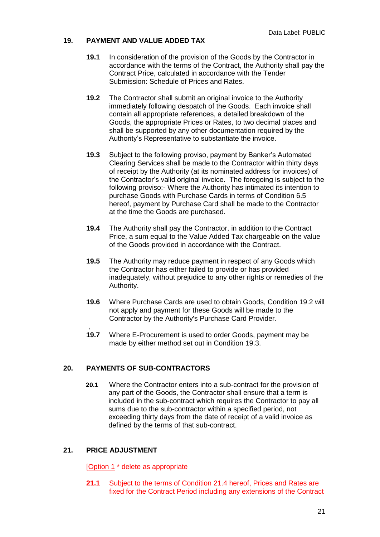## **19. PAYMENT AND VALUE ADDED TAX**

- **19.1** In consideration of the provision of the Goods by the Contractor in accordance with the terms of the Contract, the Authority shall pay the Contract Price, calculated in accordance with the Tender Submission: Schedule of Prices and Rates.
- **19.2** The Contractor shall submit an original invoice to the Authority immediately following despatch of the Goods. Each invoice shall contain all appropriate references, a detailed breakdown of the Goods, the appropriate Prices or Rates, to two decimal places and shall be supported by any other documentation required by the Authority's Representative to substantiate the invoice.
- **19.3** Subject to the following proviso, payment by Banker's Automated Clearing Services shall be made to the Contractor within thirty days of receipt by the Authority (at its nominated address for invoices) of the Contractor's valid original invoice. The foregoing is subject to the following proviso:- Where the Authority has intimated its intention to purchase Goods with Purchase Cards in terms of Condition 6.5 hereof, payment by Purchase Card shall be made to the Contractor at the time the Goods are purchased.
- **19.4** The Authority shall pay the Contractor, in addition to the Contract Price, a sum equal to the Value Added Tax chargeable on the value of the Goods provided in accordance with the Contract.
- **19.5** The Authority may reduce payment in respect of any Goods which the Contractor has either failed to provide or has provided inadequately, without prejudice to any other rights or remedies of the Authority.
- **19.6** Where Purchase Cards are used to obtain Goods, Condition 19.2 will not apply and payment for these Goods will be made to the Contractor by the Authority's Purchase Card Provider.
- **19.7** Where E-Procurement is used to order Goods, payment may be made by either method set out in Condition 19.3.

## **20. PAYMENTS OF SUB-CONTRACTORS**

**20.1** Where the Contractor enters into a sub-contract for the provision of any part of the Goods, the Contractor shall ensure that a term is included in the sub-contract which requires the Contractor to pay all sums due to the sub-contractor within a specified period, not exceeding thirty days from the date of receipt of a valid invoice as defined by the terms of that sub-contract.

## **21. PRICE ADJUSTMENT**

,

[Option 1 \* delete as appropriate

**21.1** Subject to the terms of Condition 21.4 hereof, Prices and Rates are fixed for the Contract Period including any extensions of the Contract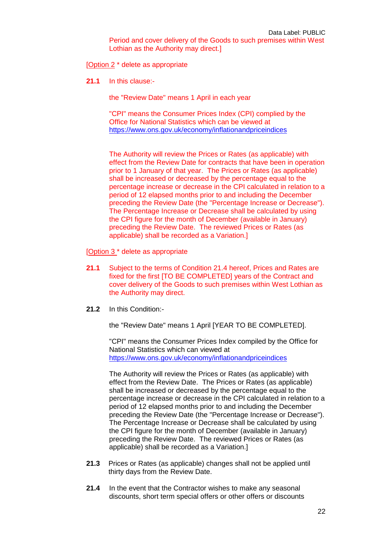[Option 2 \* delete as appropriate

**21.1** In this clause:-

the "Review Date" means 1 April in each year

"CPI" means the Consumer Prices Index (CPI) complied by the Office for National Statistics which can be viewed at <https://www.ons.gov.uk/economy/inflationandpriceindices>

The Authority will review the Prices or Rates (as applicable) with effect from the Review Date for contracts that have been in operation prior to 1 January of that year. The Prices or Rates (as applicable) shall be increased or decreased by the percentage equal to the percentage increase or decrease in the CPI calculated in relation to a period of 12 elapsed months prior to and including the December preceding the Review Date (the "Percentage Increase or Decrease"). The Percentage Increase or Decrease shall be calculated by using the CPI figure for the month of December (available in January) preceding the Review Date. The reviewed Prices or Rates (as applicable) shall be recorded as a Variation.]

[Option 3 \* delete as appropriate

- **21.1** Subject to the terms of Condition 21.4 hereof, Prices and Rates are fixed for the first [TO BE COMPLETED] years of the Contract and cover delivery of the Goods to such premises within West Lothian as the Authority may direct.
- **21.2** In this Condition:-

the "Review Date" means 1 April [YEAR TO BE COMPLETED].

"CPI" means the Consumer Prices Index compiled by the Office for National Statistics which can viewed at <https://www.ons.gov.uk/economy/inflationandpriceindices>

The Authority will review the Prices or Rates (as applicable) with effect from the Review Date. The Prices or Rates (as applicable) shall be increased or decreased by the percentage equal to the percentage increase or decrease in the CPI calculated in relation to a period of 12 elapsed months prior to and including the December preceding the Review Date (the "Percentage Increase or Decrease"). The Percentage Increase or Decrease shall be calculated by using the CPI figure for the month of December (available in January) preceding the Review Date. The reviewed Prices or Rates (as applicable) shall be recorded as a Variation.]

- **21.3** Prices or Rates (as applicable) changes shall not be applied until thirty days from the Review Date.
- **21.4** In the event that the Contractor wishes to make any seasonal discounts, short term special offers or other offers or discounts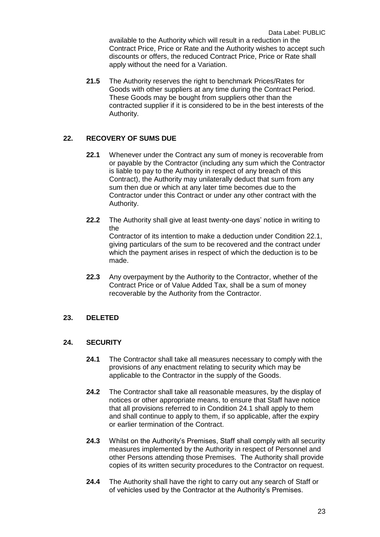Data Label: PUBLIC available to the Authority which will result in a reduction in the Contract Price, Price or Rate and the Authority wishes to accept such discounts or offers, the reduced Contract Price, Price or Rate shall apply without the need for a Variation.

**21.5** The Authority reserves the right to benchmark Prices/Rates for Goods with other suppliers at any time during the Contract Period. These Goods may be bought from suppliers other than the contracted supplier if it is considered to be in the best interests of the Authority.

## **22. RECOVERY OF SUMS DUE**

- **22.1** Whenever under the Contract any sum of money is recoverable from or payable by the Contractor (including any sum which the Contractor is liable to pay to the Authority in respect of any breach of this Contract), the Authority may unilaterally deduct that sum from any sum then due or which at any later time becomes due to the Contractor under this Contract or under any other contract with the Authority.
- **22.2** The Authority shall give at least twenty-one days' notice in writing to the Contractor of its intention to make a deduction under Condition 22.1, giving particulars of the sum to be recovered and the contract under which the payment arises in respect of which the deduction is to be made.
- **22.3** Any overpayment by the Authority to the Contractor, whether of the Contract Price or of Value Added Tax, shall be a sum of money recoverable by the Authority from the Contractor.

## **23. DELETED**

## **24. SECURITY**

- **24.1** The Contractor shall take all measures necessary to comply with the provisions of any enactment relating to security which may be applicable to the Contractor in the supply of the Goods.
- **24.2** The Contractor shall take all reasonable measures, by the display of notices or other appropriate means, to ensure that Staff have notice that all provisions referred to in Condition 24.1 shall apply to them and shall continue to apply to them, if so applicable, after the expiry or earlier termination of the Contract.
- **24.3** Whilst on the Authority's Premises, Staff shall comply with all security measures implemented by the Authority in respect of Personnel and other Persons attending those Premises. The Authority shall provide copies of its written security procedures to the Contractor on request.
- **24.4** The Authority shall have the right to carry out any search of Staff or of vehicles used by the Contractor at the Authority's Premises.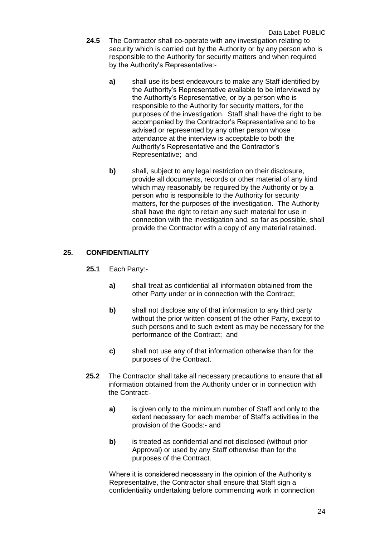- **24.5** The Contractor shall co-operate with any investigation relating to security which is carried out by the Authority or by any person who is responsible to the Authority for security matters and when required by the Authority's Representative:
	- **a)** shall use its best endeavours to make any Staff identified by the Authority's Representative available to be interviewed by the Authority's Representative, or by a person who is responsible to the Authority for security matters, for the purposes of the investigation. Staff shall have the right to be accompanied by the Contractor's Representative and to be advised or represented by any other person whose attendance at the interview is acceptable to both the Authority's Representative and the Contractor's Representative; and
	- **b)** shall, subject to any legal restriction on their disclosure, provide all documents, records or other material of any kind which may reasonably be required by the Authority or by a person who is responsible to the Authority for security matters, for the purposes of the investigation. The Authority shall have the right to retain any such material for use in connection with the investigation and, so far as possible, shall provide the Contractor with a copy of any material retained.

## **25. CONFIDENTIALITY**

- **25.1** Each Party:
	- **a)** shall treat as confidential all information obtained from the other Party under or in connection with the Contract;
	- **b)** shall not disclose any of that information to any third party without the prior written consent of the other Party, except to such persons and to such extent as may be necessary for the performance of the Contract; and
	- **c)** shall not use any of that information otherwise than for the purposes of the Contract.
- **25.2** The Contractor shall take all necessary precautions to ensure that all information obtained from the Authority under or in connection with the Contract:
	- **a)** is given only to the minimum number of Staff and only to the extent necessary for each member of Staff's activities in the provision of the Goods:- and
	- **b)** is treated as confidential and not disclosed (without prior Approval) or used by any Staff otherwise than for the purposes of the Contract.

Where it is considered necessary in the opinion of the Authority's Representative, the Contractor shall ensure that Staff sign a confidentiality undertaking before commencing work in connection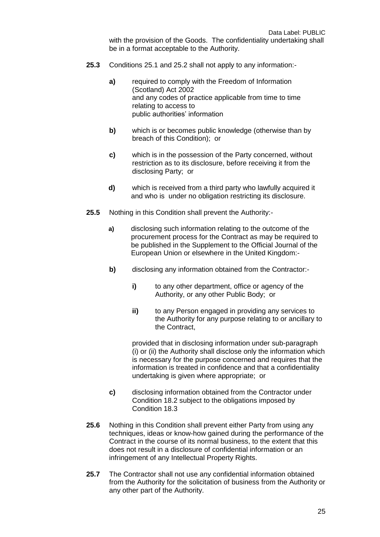with the provision of the Goods. The confidentiality undertaking shall be in a format acceptable to the Authority.

- **25.3** Conditions 25.1 and 25.2 shall not apply to any information:
	- **a)** required to comply with the Freedom of Information (Scotland) Act 2002 and any codes of practice applicable from time to time relating to access to public authorities' information
	- **b)** which is or becomes public knowledge (otherwise than by breach of this Condition); or
	- **c)** which is in the possession of the Party concerned, without restriction as to its disclosure, before receiving it from the disclosing Party; or
	- **d)** which is received from a third party who lawfully acquired it and who is under no obligation restricting its disclosure.
- **25.5** Nothing in this Condition shall prevent the Authority:
	- **a)** disclosing such information relating to the outcome of the procurement process for the Contract as may be required to be published in the Supplement to the Official Journal of the European Union or elsewhere in the United Kingdom:-
	- **b)** disclosing any information obtained from the Contractor:
		- **i)** to any other department, office or agency of the Authority, or any other Public Body; or
		- **ii)** to any Person engaged in providing any services to the Authority for any purpose relating to or ancillary to the Contract,

provided that in disclosing information under sub-paragraph (i) or (ii) the Authority shall disclose only the information which is necessary for the purpose concerned and requires that the information is treated in confidence and that a confidentiality undertaking is given where appropriate; or

- **c)** disclosing information obtained from the Contractor under Condition 18.2 subject to the obligations imposed by Condition 18.3
- **25.6** Nothing in this Condition shall prevent either Party from using any techniques, ideas or know-how gained during the performance of the Contract in the course of its normal business, to the extent that this does not result in a disclosure of confidential information or an infringement of any Intellectual Property Rights.
- **25.7** The Contractor shall not use any confidential information obtained from the Authority for the solicitation of business from the Authority or any other part of the Authority.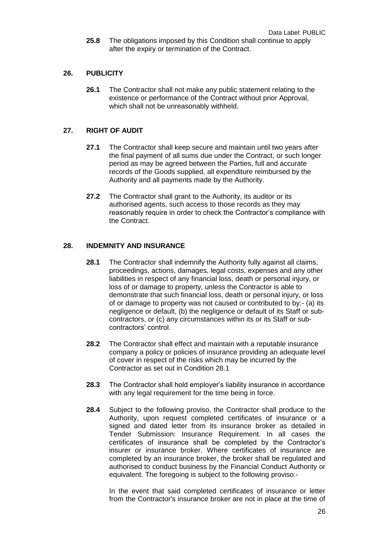**25.8** The obligations imposed by this Condition shall continue to apply after the expiry or termination of the Contract.

## **26. PUBLICITY**

**26.1** The Contractor shall not make any public statement relating to the existence or performance of the Contract without prior Approval, which shall not be unreasonably withheld.

#### **27. RIGHT OF AUDIT**

- **27.1** The Contractor shall keep secure and maintain until two years after the final payment of all sums due under the Contract, or such longer period as may be agreed between the Parties, full and accurate records of the Goods supplied, all expenditure reimbursed by the Authority and all payments made by the Authority.
- **27.2** The Contractor shall grant to the Authority, its auditor or its authorised agents, such access to those records as they may reasonably require in order to check the Contractor's compliance with the Contract.

#### **28. INDEMNITY AND INSURANCE**

- **28.1** The Contractor shall indemnify the Authority fully against all claims, proceedings, actions, damages, legal costs, expenses and any other liabilities in respect of any financial loss, death or personal injury, or loss of or damage to property, unless the Contractor is able to demonstrate that such financial loss, death or personal injury, or loss of or damage to property was not caused or contributed to by:- (a) its negligence or default, (b) the negligence or default of its Staff or subcontractors, or (c) any circumstances within its or its Staff or subcontractors' control.
- **28.2** The Contractor shall effect and maintain with a reputable insurance company a policy or policies of insurance providing an adequate level of cover in respect of the risks which may be incurred by the Contractor as set out in Condition 28.1
- **28.3** The Contractor shall hold employer's liability insurance in accordance with any legal requirement for the time being in force.
- **28.4** Subject to the following proviso, the Contractor shall produce to the Authority, upon request completed certificates of insurance or a signed and dated letter from its insurance broker as detailed in Tender Submission: Insurance Requirement. In all cases the certificates of insurance shall be completed by the Contractor's insurer or insurance broker. Where certificates of insurance are completed by an insurance broker, the broker shall be regulated and authorised to conduct business by the Financial Conduct Authority or equivalent. The foregoing is subject to the following proviso:-

In the event that said completed certificates of insurance or letter from the Contractor's insurance broker are not in place at the time of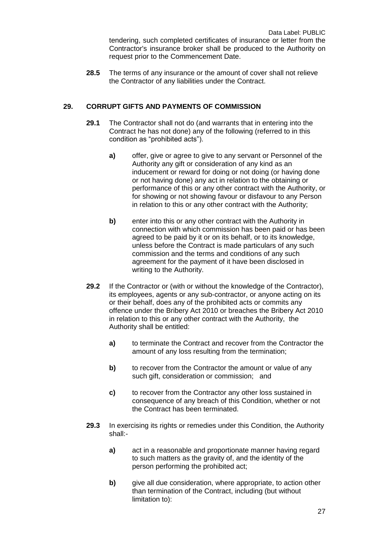**28.5** The terms of any insurance or the amount of cover shall not relieve the Contractor of any liabilities under the Contract.

## **29. CORRUPT GIFTS AND PAYMENTS OF COMMISSION**

- **29.1** The Contractor shall not do (and warrants that in entering into the Contract he has not done) any of the following (referred to in this condition as "prohibited acts").
	- **a)** offer, give or agree to give to any servant or Personnel of the Authority any gift or consideration of any kind as an inducement or reward for doing or not doing (or having done or not having done) any act in relation to the obtaining or performance of this or any other contract with the Authority, or for showing or not showing favour or disfavour to any Person in relation to this or any other contract with the Authority;
	- **b)** enter into this or any other contract with the Authority in connection with which commission has been paid or has been agreed to be paid by it or on its behalf, or to its knowledge, unless before the Contract is made particulars of any such commission and the terms and conditions of any such agreement for the payment of it have been disclosed in writing to the Authority.
- **29.2** If the Contractor or (with or without the knowledge of the Contractor), its employees, agents or any sub-contractor, or anyone acting on its or their behalf, does any of the prohibited acts or commits any offence under the Bribery Act 2010 or breaches the Bribery Act 2010 in relation to this or any other contract with the Authority, the Authority shall be entitled:
	- **a)** to terminate the Contract and recover from the Contractor the amount of any loss resulting from the termination;
	- **b)** to recover from the Contractor the amount or value of any such gift, consideration or commission; and
	- **c)** to recover from the Contractor any other loss sustained in consequence of any breach of this Condition, whether or not the Contract has been terminated.
- **29.3** In exercising its rights or remedies under this Condition, the Authority shall:
	- **a)** act in a reasonable and proportionate manner having regard to such matters as the gravity of, and the identity of the person performing the prohibited act;
	- **b)** give all due consideration, where appropriate, to action other than termination of the Contract, including (but without limitation to):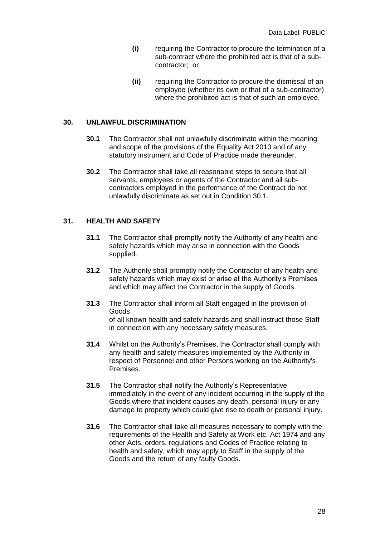- **(i)** requiring the Contractor to procure the termination of a sub-contract where the prohibited act is that of a subcontractor; or
- **(ii)** requiring the Contractor to procure the dismissal of an employee (whether its own or that of a sub-contractor) where the prohibited act is that of such an employee.

#### **30. UNLAWFUL DISCRIMINATION**

- **30.1** The Contractor shall not unlawfully discriminate within the meaning and scope of the provisions of the Equality Act 2010 and of any statutory instrument and Code of Practice made thereunder.
- **30.2** The Contractor shall take all reasonable steps to secure that all servants, employees or agents of the Contractor and all subcontractors employed in the performance of the Contract do not unlawfully discriminate as set out in Condition 30.1.

## **31. HEALTH AND SAFETY**

- **31.1** The Contractor shall promptly notify the Authority of any health and safety hazards which may arise in connection with the Goods supplied.
- **31.2** The Authority shall promptly notify the Contractor of any health and safety hazards which may exist or arise at the Authority's Premises and which may affect the Contractor in the supply of Goods.
- **31.3** The Contractor shall inform all Staff engaged in the provision of Goods of all known health and safety hazards and shall instruct those Staff in connection with any necessary safety measures.
- **31.4** Whilst on the Authority's Premises, the Contractor shall comply with any health and safety measures implemented by the Authority in respect of Personnel and other Persons working on the Authority's Premises.
- **31.5** The Contractor shall notify the Authority's Representative immediately in the event of any incident occurring in the supply of the Goods where that incident causes any death, personal injury or any damage to property which could give rise to death or personal injury.
- **31.6** The Contractor shall take all measures necessary to comply with the requirements of the Health and Safety at Work etc. Act 1974 and any other Acts, orders, regulations and Codes of Practice relating to health and safety, which may apply to Staff in the supply of the Goods and the return of any faulty Goods.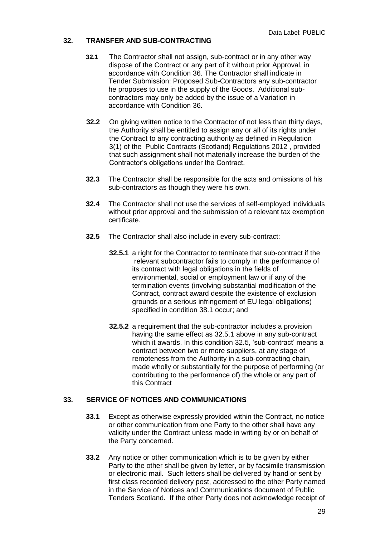## **32. TRANSFER AND SUB-CONTRACTING**

- **32.1** The Contractor shall not assign, sub-contract or in any other way dispose of the Contract or any part of it without prior Approval, in accordance with Condition 36. The Contractor shall indicate in Tender Submission: Proposed Sub-Contractors any sub-contractor he proposes to use in the supply of the Goods. Additional subcontractors may only be added by the issue of a Variation in accordance with Condition 36.
- **32.2** On giving written notice to the Contractor of not less than thirty days, the Authority shall be entitled to assign any or all of its rights under the Contract to any contracting authority as defined in Regulation 3(1) of the Public Contracts (Scotland) Regulations 2012 , provided that such assignment shall not materially increase the burden of the Contractor's obligations under the Contract.
- **32.3** The Contractor shall be responsible for the acts and omissions of his sub-contractors as though they were his own.
- **32.4** The Contractor shall not use the services of self-employed individuals without prior approval and the submission of a relevant tax exemption certificate.
- **32.5** The Contractor shall also include in every sub-contract:
	- **32.5.1** a right for the Contractor to terminate that sub-contract if the relevant subcontractor fails to comply in the performance of its contract with legal obligations in the fields of environmental, social or employment law or if any of the termination events (involving substantial modification of the Contract, contract award despite the existence of exclusion grounds or a serious infringement of EU legal obligations) specified in condition 38.1 occur; and
	- **32.5.2** a requirement that the sub-contractor includes a provision having the same effect as 32.5.1 above in any sub-contract which it awards. In this condition 32.5, 'sub-contract' means a contract between two or more suppliers, at any stage of remoteness from the Authority in a sub-contracting chain, made wholly or substantially for the purpose of performing (or contributing to the performance of) the whole or any part of this Contract

## **33. SERVICE OF NOTICES AND COMMUNICATIONS**

- **33.1** Except as otherwise expressly provided within the Contract, no notice or other communication from one Party to the other shall have any validity under the Contract unless made in writing by or on behalf of the Party concerned.
- **33.2** Any notice or other communication which is to be given by either Party to the other shall be given by letter, or by facsimile transmission or electronic mail. Such letters shall be delivered by hand or sent by first class recorded delivery post, addressed to the other Party named in the Service of Notices and Communications document of Public Tenders Scotland. If the other Party does not acknowledge receipt of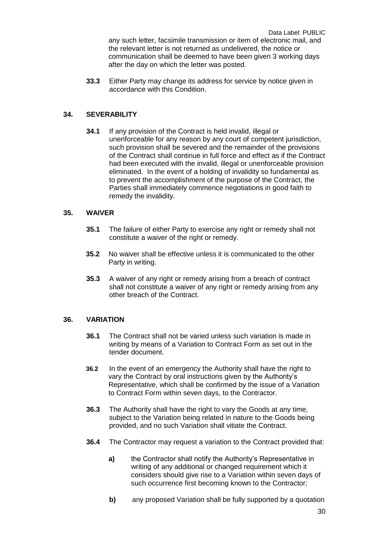Data Label: PUBLIC any such letter, facsimile transmission or item of electronic mail, and the relevant letter is not returned as undelivered, the notice or communication shall be deemed to have been given 3 working days after the day on which the letter was posted.

**33.3** Either Party may change its address for service by notice given in accordance with this Condition.

## **34. SEVERABILITY**

**34.1** If any provision of the Contract is held invalid, illegal or unenforceable for any reason by any court of competent jurisdiction, such provision shall be severed and the remainder of the provisions of the Contract shall continue in full force and effect as if the Contract had been executed with the invalid, illegal or unenforceable provision eliminated. In the event of a holding of invalidity so fundamental as to prevent the accomplishment of the purpose of the Contract, the Parties shall immediately commence negotiations in good faith to remedy the invalidity.

## **35. WAIVER**

- **35.1** The failure of either Party to exercise any right or remedy shall not constitute a waiver of the right or remedy.
- **35.2** No waiver shall be effective unless it is communicated to the other Party in writing.
- **35.3** A waiver of any right or remedy arising from a breach of contract shall not constitute a waiver of any right or remedy arising from any other breach of the Contract.

## **36. VARIATION**

- **36.1** The Contract shall not be varied unless such variation is made in writing by means of a Variation to Contract Form as set out in the tender document.
- **36.2** In the event of an emergency the Authority shall have the right to vary the Contract by oral instructions given by the Authority's Representative, which shall be confirmed by the issue of a Variation to Contract Form within seven days, to the Contractor.
- **36.3** The Authority shall have the right to vary the Goods at any time, subject to the Variation being related in nature to the Goods being provided, and no such Variation shall vitiate the Contract.
- **36.4** The Contractor may request a variation to the Contract provided that:
	- **a)** the Contractor shall notify the Authority's Representative in writing of any additional or changed requirement which it considers should give rise to a Variation within seven days of such occurrence first becoming known to the Contractor;
	- **b)** any proposed Variation shall be fully supported by a quotation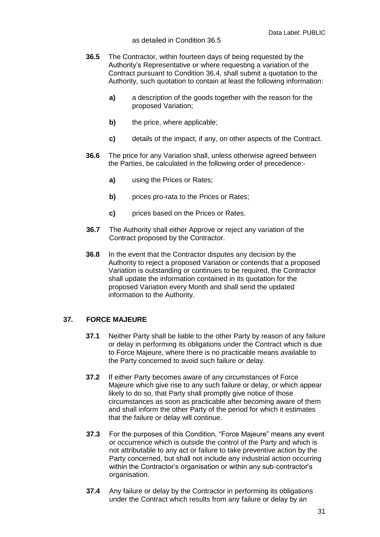#### as detailed in Condition 36.5

- **36.5** The Contractor, within fourteen days of being requested by the Authority's Representative or where requesting a variation of the Contract pursuant to Condition 36.4, shall submit a quotation to the Authority, such quotation to contain at least the following information:
	- **a)** a description of the goods together with the reason for the proposed Variation;
	- **b)** the price, where applicable;
	- **c)** details of the impact, if any, on other aspects of the Contract.
- **36.6** The price for any Variation shall, unless otherwise agreed between the Parties, be calculated in the following order of precedence:
	- **a)** using the Prices or Rates;
	- **b)** prices pro-rata to the Prices or Rates;
	- **c)** prices based on the Prices or Rates.
- **36.7** The Authority shall either Approve or reject any variation of the Contract proposed by the Contractor.
- **36.8** In the event that the Contractor disputes any decision by the Authority to reject a proposed Variation or contends that a proposed Variation is outstanding or continues to be required, the Contractor shall update the information contained in its quotation for the proposed Variation every Month and shall send the updated information to the Authority.

## **37. FORCE MAJEURE**

- **37.1** Neither Party shall be liable to the other Party by reason of any failure or delay in performing its obligations under the Contract which is due to Force Majeure, where there is no practicable means available to the Party concerned to avoid such failure or delay.
- **37.2** If either Party becomes aware of any circumstances of Force Majeure which give rise to any such failure or delay, or which appear likely to do so, that Party shall promptly give notice of those circumstances as soon as practicable after becoming aware of them and shall inform the other Party of the period for which it estimates that the failure or delay will continue.
- **37.3** For the purposes of this Condition, "Force Majeure" means any event or occurrence which is outside the control of the Party and which is not attributable to any act or failure to take preventive action by the Party concerned, but shall not include any industrial action occurring within the Contractor's organisation or within any sub-contractor's organisation.
- **37.4** Any failure or delay by the Contractor in performing its obligations under the Contract which results from any failure or delay by an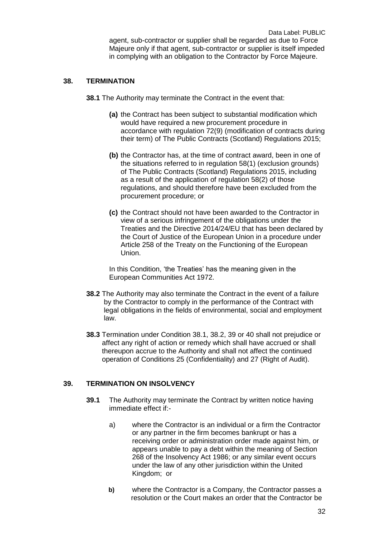## **38. TERMINATION**

**38.1** The Authority may terminate the Contract in the event that:

- **(a)** the Contract has been subject to substantial modification which would have required a new procurement procedure in accordance with regulation 72(9) (modification of contracts during their term) of The Public Contracts (Scotland) Regulations 2015;
- **(b)** the Contractor has, at the time of contract award, been in one of the situations referred to in regulation 58(1) (exclusion grounds) of The Public Contracts (Scotland) Regulations 2015, including as a result of the application of regulation 58(2) of those regulations, and should therefore have been excluded from the procurement procedure; or
- **(c)** the Contract should not have been awarded to the Contractor in view of a serious infringement of the obligations under the Treaties and the Directive 2014/24/EU that has been declared by the Court of Justice of the European Union in a procedure under Article 258 of the Treaty on the Functioning of the European Union.

In this Condition, 'the Treaties' has the meaning given in the European Communities Act 1972.

- **38.2** The Authority may also terminate the Contract in the event of a failure by the Contractor to comply in the performance of the Contract with legal obligations in the fields of environmental, social and employment law.
- **38.3** Termination under Condition 38.1, 38.2, 39 or 40 shall not prejudice or affect any right of action or remedy which shall have accrued or shall thereupon accrue to the Authority and shall not affect the continued operation of Conditions 25 (Confidentiality) and 27 (Right of Audit).

## **39. TERMINATION ON INSOLVENCY**

- **39.1** The Authority may terminate the Contract by written notice having immediate effect if:
	- a) where the Contractor is an individual or a firm the Contractor or any partner in the firm becomes bankrupt or has a receiving order or administration order made against him, or appears unable to pay a debt within the meaning of Section 268 of the Insolvency Act 1986; or any similar event occurs under the law of any other jurisdiction within the United Kingdom; or
	- **b)** where the Contractor is a Company, the Contractor passes a resolution or the Court makes an order that the Contractor be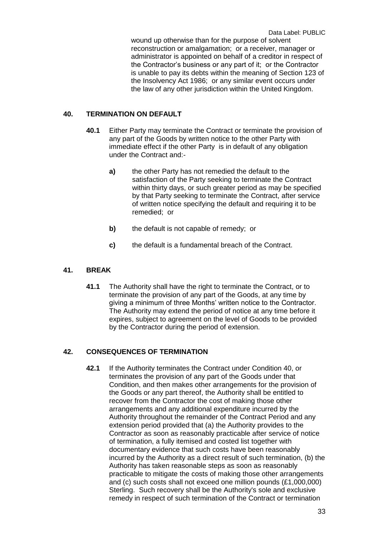wound up otherwise than for the purpose of solvent reconstruction or amalgamation; or a receiver, manager or administrator is appointed on behalf of a creditor in respect of the Contractor's business or any part of it; or the Contractor is unable to pay its debts within the meaning of Section 123 of the Insolvency Act 1986; or any similar event occurs under the law of any other jurisdiction within the United Kingdom.

#### **40. TERMINATION ON DEFAULT**

- **40.1** Either Party may terminate the Contract or terminate the provision of any part of the Goods by written notice to the other Party with immediate effect if the other Party is in default of any obligation under the Contract and:
	- **a)** the other Party has not remedied the default to the satisfaction of the Party seeking to terminate the Contract within thirty days, or such greater period as may be specified by that Party seeking to terminate the Contract, after service of written notice specifying the default and requiring it to be remedied; or
	- **b)** the default is not capable of remedy; or
	- **c)** the default is a fundamental breach of the Contract.

## **41. BREAK**

**41.1** The Authority shall have the right to terminate the Contract, or to terminate the provision of any part of the Goods, at any time by giving a minimum of three Months' written notice to the Contractor. The Authority may extend the period of notice at any time before it expires, subject to agreement on the level of Goods to be provided by the Contractor during the period of extension.

## **42. CONSEQUENCES OF TERMINATION**

**42.1** If the Authority terminates the Contract under Condition 40, or terminates the provision of any part of the Goods under that Condition, and then makes other arrangements for the provision of the Goods or any part thereof, the Authority shall be entitled to recover from the Contractor the cost of making those other arrangements and any additional expenditure incurred by the Authority throughout the remainder of the Contract Period and any extension period provided that (a) the Authority provides to the Contractor as soon as reasonably practicable after service of notice of termination, a fully itemised and costed list together with documentary evidence that such costs have been reasonably incurred by the Authority as a direct result of such termination, (b) the Authority has taken reasonable steps as soon as reasonably practicable to mitigate the costs of making those other arrangements and (c) such costs shall not exceed one million pounds (£1,000,000) Sterling. Such recovery shall be the Authority's sole and exclusive remedy in respect of such termination of the Contract or termination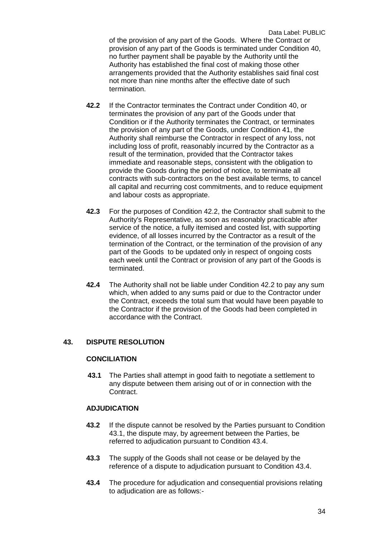Data Label: PUBLIC of the provision of any part of the Goods. Where the Contract or provision of any part of the Goods is terminated under Condition 40, no further payment shall be payable by the Authority until the Authority has established the final cost of making those other arrangements provided that the Authority establishes said final cost not more than nine months after the effective date of such termination.

- **42.2** If the Contractor terminates the Contract under Condition 40, or terminates the provision of any part of the Goods under that Condition or if the Authority terminates the Contract, or terminates the provision of any part of the Goods, under Condition 41, the Authority shall reimburse the Contractor in respect of any loss, not including loss of profit, reasonably incurred by the Contractor as a result of the termination, provided that the Contractor takes immediate and reasonable steps, consistent with the obligation to provide the Goods during the period of notice, to terminate all contracts with sub-contractors on the best available terms, to cancel all capital and recurring cost commitments, and to reduce equipment and labour costs as appropriate.
- **42.3** For the purposes of Condition 42.2, the Contractor shall submit to the Authority's Representative, as soon as reasonably practicable after service of the notice, a fully itemised and costed list, with supporting evidence, of all losses incurred by the Contractor as a result of the termination of the Contract, or the termination of the provision of any part of the Goods to be updated only in respect of ongoing costs each week until the Contract or provision of any part of the Goods is terminated.
- **42.4** The Authority shall not be liable under Condition 42.2 to pay any sum which, when added to any sums paid or due to the Contractor under the Contract, exceeds the total sum that would have been payable to the Contractor if the provision of the Goods had been completed in accordance with the Contract.

## **43. DISPUTE RESOLUTION**

## **CONCILIATION**

**43.1** The Parties shall attempt in good faith to negotiate a settlement to any dispute between them arising out of or in connection with the Contract.

## **ADJUDICATION**

- **43.2** If the dispute cannot be resolved by the Parties pursuant to Condition 43.1, the dispute may, by agreement between the Parties, be referred to adjudication pursuant to Condition 43.4.
- **43.3** The supply of the Goods shall not cease or be delayed by the reference of a dispute to adjudication pursuant to Condition 43.4.
- **43.4** The procedure for adjudication and consequential provisions relating to adjudication are as follows:-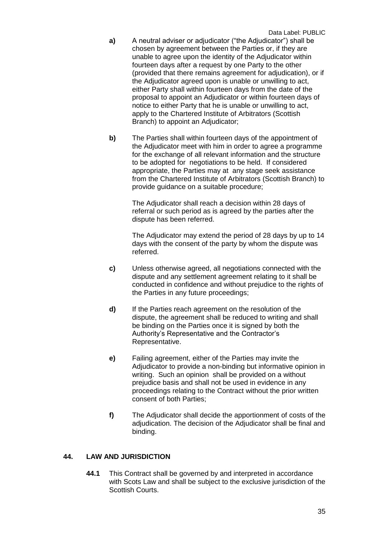- **a)** A neutral adviser or adjudicator ("the Adjudicator") shall be chosen by agreement between the Parties or, if they are unable to agree upon the identity of the Adjudicator within fourteen days after a request by one Party to the other (provided that there remains agreement for adjudication), or if the Adjudicator agreed upon is unable or unwilling to act, either Party shall within fourteen days from the date of the proposal to appoint an Adjudicator or within fourteen days of notice to either Party that he is unable or unwilling to act, apply to the Chartered Institute of Arbitrators (Scottish Branch) to appoint an Adjudicator;
- **b)** The Parties shall within fourteen days of the appointment of the Adjudicator meet with him in order to agree a programme for the exchange of all relevant information and the structure to be adopted for negotiations to be held. If considered appropriate, the Parties may at any stage seek assistance from the Chartered Institute of Arbitrators (Scottish Branch) to provide guidance on a suitable procedure;

The Adjudicator shall reach a decision within 28 days of referral or such period as is agreed by the parties after the dispute has been referred.

The Adjudicator may extend the period of 28 days by up to 14 days with the consent of the party by whom the dispute was referred.

- **c)** Unless otherwise agreed, all negotiations connected with the dispute and any settlement agreement relating to it shall be conducted in confidence and without prejudice to the rights of the Parties in any future proceedings;
- **d)** If the Parties reach agreement on the resolution of the dispute, the agreement shall be reduced to writing and shall be binding on the Parties once it is signed by both the Authority's Representative and the Contractor's Representative.
- **e)** Failing agreement, either of the Parties may invite the Adjudicator to provide a non-binding but informative opinion in writing. Such an opinion shall be provided on a without prejudice basis and shall not be used in evidence in any proceedings relating to the Contract without the prior written consent of both Parties;
- **f)** The Adjudicator shall decide the apportionment of costs of the adjudication. The decision of the Adjudicator shall be final and binding.

## **44. LAW AND JURISDICTION**

**44.1** This Contract shall be governed by and interpreted in accordance with Scots Law and shall be subject to the exclusive jurisdiction of the Scottish Courts.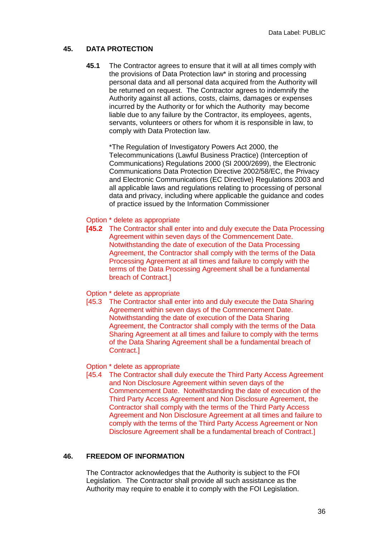## **45. DATA PROTECTION**

**45.1** The Contractor agrees to ensure that it will at all times comply with the provisions of Data Protection law\* in storing and processing personal data and all personal data acquired from the Authority will be returned on request. The Contractor agrees to indemnify the Authority against all actions, costs, claims, damages or expenses incurred by the Authority or for which the Authority may become liable due to any failure by the Contractor, its employees, agents, servants, volunteers or others for whom it is responsible in law, to comply with Data Protection law.

\*The Regulation of Investigatory Powers Act 2000, the Telecommunications (Lawful Business Practice) (Interception of Communications) Regulations 2000 (SI 2000/2699), the Electronic Communications Data Protection Directive 2002/58/EC, the Privacy and Electronic Communications (EC Directive) Regulations 2003 and all applicable laws and regulations relating to processing of personal data and privacy, including where applicable the guidance and codes of practice issued by the Information Commissioner

#### Option \* delete as appropriate

- **[45.2** The Contractor shall enter into and duly execute the Data Processing Agreement within seven days of the Commencement Date. Notwithstanding the date of execution of the Data Processing Agreement, the Contractor shall comply with the terms of the Data Processing Agreement at all times and failure to comply with the terms of the Data Processing Agreement shall be a fundamental breach of Contract.]
- Option \* delete as appropriate
- [45.3 The Contractor shall enter into and duly execute the Data Sharing Agreement within seven days of the Commencement Date. Notwithstanding the date of execution of the Data Sharing Agreement, the Contractor shall comply with the terms of the Data Sharing Agreement at all times and failure to comply with the terms of the Data Sharing Agreement shall be a fundamental breach of Contract.]

## Option \* delete as appropriate

[45.4 The Contractor shall duly execute the Third Party Access Agreement and Non Disclosure Agreement within seven days of the Commencement Date. Notwithstanding the date of execution of the Third Party Access Agreement and Non Disclosure Agreement, the Contractor shall comply with the terms of the Third Party Access Agreement and Non Disclosure Agreement at all times and failure to comply with the terms of the Third Party Access Agreement or Non Disclosure Agreement shall be a fundamental breach of Contract.]

## **46. FREEDOM OF INFORMATION**

The Contractor acknowledges that the Authority is subject to the FOI Legislation. The Contractor shall provide all such assistance as the Authority may require to enable it to comply with the FOI Legislation.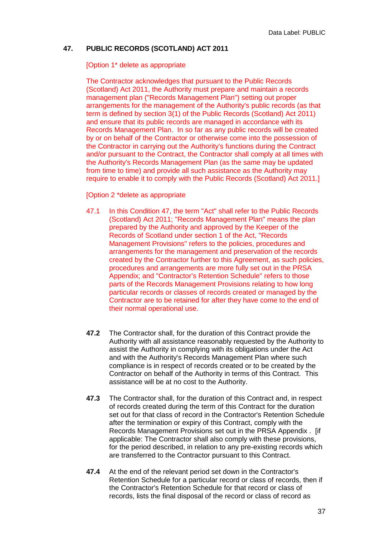## **47. PUBLIC RECORDS (SCOTLAND) ACT 2011**

#### [Option 1\* delete as appropriate

The Contractor acknowledges that pursuant to the Public Records (Scotland) Act 2011, the Authority must prepare and maintain a records management plan ("Records Management Plan") setting out proper arrangements for the management of the Authority's public records (as that term is defined by section 3(1) of the Public Records (Scotland) Act 2011) and ensure that its public records are managed in accordance with its Records Management Plan. In so far as any public records will be created by or on behalf of the Contractor or otherwise come into the possession of the Contractor in carrying out the Authority's functions during the Contract and/or pursuant to the Contract, the Contractor shall comply at all times with the Authority's Records Management Plan (as the same may be updated from time to time) and provide all such assistance as the Authority may require to enable it to comply with the Public Records (Scotland) Act 2011.]

[Option 2 \*delete as appropriate

- 47.1 In this Condition 47, the term "Act" shall refer to the Public Records (Scotland) Act 2011; "Records Management Plan" means the plan prepared by the Authority and approved by the Keeper of the Records of Scotland under section 1 of the Act, "Records Management Provisions" refers to the policies, procedures and arrangements for the management and preservation of the records created by the Contractor further to this Agreement, as such policies, procedures and arrangements are more fully set out in the PRSA Appendix; and "Contractor's Retention Schedule" refers to those parts of the Records Management Provisions relating to how long particular records or classes of records created or managed by the Contractor are to be retained for after they have come to the end of their normal operational use.
- **47.2** The Contractor shall, for the duration of this Contract provide the Authority with all assistance reasonably requested by the Authority to assist the Authority in complying with its obligations under the Act and with the Authority's Records Management Plan where such compliance is in respect of records created or to be created by the Contractor on behalf of the Authority in terms of this Contract. This assistance will be at no cost to the Authority.
- **47.3** The Contractor shall, for the duration of this Contract and, in respect of records created during the term of this Contract for the duration set out for that class of record in the Contractor's Retention Schedule after the termination or expiry of this Contract, comply with the Records Management Provisions set out in the PRSA Appendix . [if applicable: The Contractor shall also comply with these provisions, for the period described, in relation to any pre-existing records which are transferred to the Contractor pursuant to this Contract.
- **47.4** At the end of the relevant period set down in the Contractor's Retention Schedule for a particular record or class of records, then if the Contractor's Retention Schedule for that record or class of records, lists the final disposal of the record or class of record as